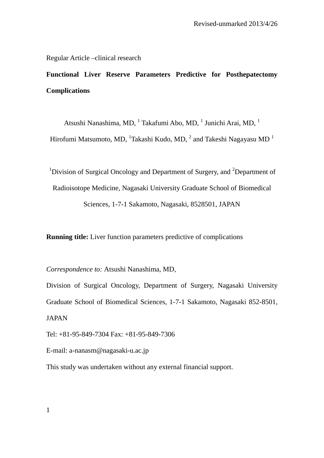Regular Article –clinical research

**Functional Liver Reserve Parameters Predictive for Posthepatectomy Complications** 

Atsushi Nanashima, MD,  $^{1}$  Takafumi Abo, MD,  $^{1}$  Junichi Arai, MD,  $^{1}$ 

Hirofumi Matsumoto, MD,  $^1$ Takashi Kudo, MD,  $^2$  and Takeshi Nagayasu MD  $^1$ 

<sup>1</sup>Division of Surgical Oncology and Department of Surgery, and <sup>2</sup>Department of

Radioisotope Medicine, Nagasaki University Graduate School of Biomedical

Sciences, 1-7-1 Sakamoto, Nagasaki, 8528501, JAPAN

**Running title:** Liver function parameters predictive of complications

*Correspondence to:* Atsushi Nanashima, MD,

Division of Surgical Oncology, Department of Surgery, Nagasaki University Graduate School of Biomedical Sciences, 1-7-1 Sakamoto, Nagasaki 852-8501, JAPAN

Tel: +81-95-849-7304 Fax: +81-95-849-7306

E-mail: a-nanasm@nagasaki-u.ac.jp

This study was undertaken without any external financial support.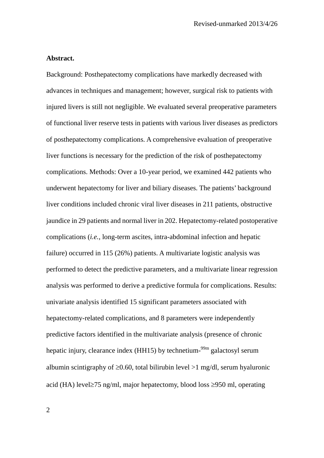### **Abstract.**

Background: Posthepatectomy complications have markedly decreased with advances in techniques and management; however, surgical risk to patients with injured livers is still not negligible. We evaluated several preoperative parameters of functional liver reserve tests in patients with various liver diseases as predictors of posthepatectomy complications. A comprehensive evaluation of preoperative liver functions is necessary for the prediction of the risk of posthepatectomy complications. Methods: Over a 10-year period, we examined 442 patients who underwent hepatectomy for liver and biliary diseases. The patients' background liver conditions included chronic viral liver diseases in 211 patients, obstructive jaundice in 29 patients and normal liver in 202. Hepatectomy-related postoperative complications (*i.e.*, long-term ascites, intra-abdominal infection and hepatic failure) occurred in 115 (26%) patients. A multivariate logistic analysis was performed to detect the predictive parameters, and a multivariate linear regression analysis was performed to derive a predictive formula for complications. Results: univariate analysis identified 15 significant parameters associated with hepatectomy-related complications, and 8 parameters were independently predictive factors identified in the multivariate analysis (presence of chronic hepatic injury, clearance index (HH15) by technetium-<sup>99m</sup> galactosyl serum albumin scintigraphy of  $\geq 0.60$ , total bilirubin level  $>1$  mg/dl, serum hyaluronic acid (HA) level≥75 ng/ml, major hepatectomy, blood loss ≥950 ml, operating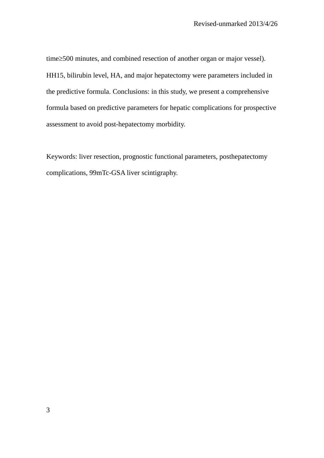time≥500 minutes, and combined resection of another organ or major vessel). HH15, bilirubin level, HA, and major hepatectomy were parameters included in the predictive formula. Conclusions: in this study, we present a comprehensive formula based on predictive parameters for hepatic complications for prospective assessment to avoid post-hepatectomy morbidity.

Keywords: liver resection, prognostic functional parameters, posthepatectomy complications, 99mTc-GSA liver scintigraphy.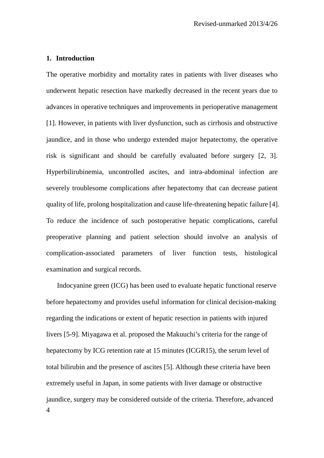### **1. Introduction**

The operative morbidity and mortality rates in patients with liver diseases who underwent hepatic resection have markedly decreased in the recent years due to advances in operative techniques and improvements in perioperative management [1]. However, in patients with liver dysfunction, such as cirrhosis and obstructive jaundice, and in those who undergo extended major hepatectomy, the operative risk is significant and should be carefully evaluated before surgery [2, 3]. Hyperbilirubinemia, uncontrolled ascites, and intra-abdominal infection are severely troublesome complications after hepatectomy that can decrease patient quality of life, prolong hospitalization and cause life-threatening hepatic failure [4]. To reduce the incidence of such postoperative hepatic complications, careful preoperative planning and patient selection should involve an analysis of complication-associated parameters of liver function tests, histological examination and surgical records.

4 Indocyanine green (ICG) has been used to evaluate hepatic functional reserve before hepatectomy and provides useful information for clinical decision-making regarding the indications or extent of hepatic resection in patients with injured livers [5-9]. Miyagawa et al. proposed the Makuuchi's criteria for the range of hepatectomy by ICG retention rate at 15 minutes (ICGR15), the serum level of total bilirubin and the presence of ascites [5]. Although these criteria have been extremely useful in Japan, in some patients with liver damage or obstructive jaundice, surgery may be considered outside of the criteria. Therefore, advanced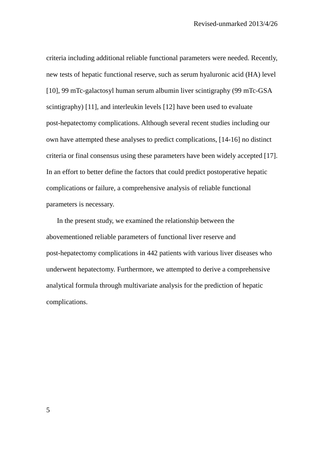criteria including additional reliable functional parameters were needed. Recently, new tests of hepatic functional reserve, such as serum hyaluronic acid (HA) level [10], 99 mTc-galactosyl human serum albumin liver scintigraphy (99 mTc-GSA scintigraphy) [11], and interleukin levels [12] have been used to evaluate post-hepatectomy complications. Although several recent studies including our own have attempted these analyses to predict complications, [14-16] no distinct criteria or final consensus using these parameters have been widely accepted [17]. In an effort to better define the factors that could predict postoperative hepatic complications or failure, a comprehensive analysis of reliable functional parameters is necessary.

In the present study, we examined the relationship between the abovementioned reliable parameters of functional liver reserve and post-hepatectomy complications in 442 patients with various liver diseases who underwent hepatectomy. Furthermore, we attempted to derive a comprehensive analytical formula through multivariate analysis for the prediction of hepatic complications.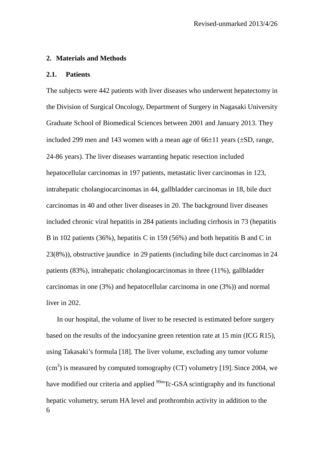#### **2. Materials and Methods**

### **2.1. Patients**

The subjects were 442 patients with liver diseases who underwent hepatectomy in the Division of Surgical Oncology, Department of Surgery in Nagasaki University Graduate School of Biomedical Sciences between 2001 and January 2013. They included 299 men and 143 women with a mean age of  $66\pm11$  years ( $\pm$ SD, range, 24-86 years). The liver diseases warranting hepatic resection included hepatocellular carcinomas in 197 patients, metastatic liver carcinomas in 123, intrahepatic cholangiocarcinomas in 44, gallbladder carcinomas in 18, bile duct carcinomas in 40 and other liver diseases in 20. The background liver diseases included chronic viral hepatitis in 284 patients including cirrhosis in 73 (hepatitis B in 102 patients (36%), hepatitis C in 159 (56%) and both hepatitis B and C in 23(8%)), obstructive jaundice in 29 patients (including bile duct carcinomas in 24 patients (83%), intrahepatic cholangiocarcinomas in three (11%), gallbladder carcinomas in one (3%) and hepatocellular carcinoma in one (3%)) and normal liver in 202.

6 In our hospital, the volume of liver to be resected is estimated before surgery based on the results of the indocyanine green retention rate at 15 min (ICG R15), using Takasaki's formula [18]. The liver volume, excluding any tumor volume  $(cm<sup>3</sup>)$  is measured by computed tomography (CT) volumetry [19]. Since 2004, we have modified our criteria and applied <sup>99m</sup>Tc-GSA scintigraphy and its functional hepatic volumetry, serum HA level and prothrombin activity in addition to the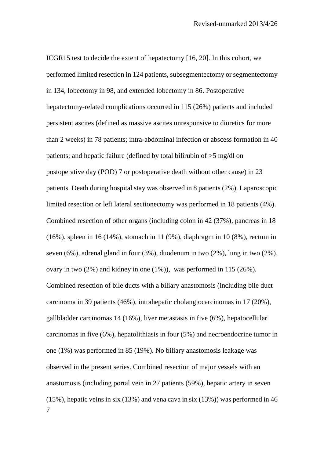7 ICGR15 test to decide the extent of hepatectomy [16, 20]. In this cohort, we performed limited resection in 124 patients, subsegmentectomy or segmentectomy in 134, lobectomy in 98, and extended lobectomy in 86. Postoperative hepatectomy-related complications occurred in 115 (26%) patients and included persistent ascites (defined as massive ascites unresponsive to diuretics for more than 2 weeks) in 78 patients; intra-abdominal infection or abscess formation in 40 patients; and hepatic failure (defined by total bilirubin of >5 mg/dl on postoperative day (POD) 7 or postoperative death without other cause) in 23 patients. Death during hospital stay was observed in 8 patients (2%). Laparoscopic limited resection or left lateral sectionectomy was performed in 18 patients (4%). Combined resection of other organs (including colon in 42 (37%), pancreas in 18 (16%), spleen in 16 (14%), stomach in 11 (9%), diaphragm in 10 (8%), rectum in seven (6%), adrenal gland in four (3%), duodenum in two (2%), lung in two (2%), ovary in two (2%) and kidney in one (1%)), was performed in 115 (26%). Combined resection of bile ducts with a biliary anastomosis (including bile duct carcinoma in 39 patients (46%), intrahepatic cholangiocarcinomas in 17 (20%), gallbladder carcinomas 14 (16%), liver metastasis in five (6%), hepatocellular carcinomas in five (6%), hepatolithiasis in four (5%) and necroendocrine tumor in one (1%) was performed in 85 (19%). No biliary anastomosis leakage was observed in the present series. Combined resection of major vessels with an anastomosis (including portal vein in 27 patients (59%), hepatic artery in seven (15%), hepatic veins in six (13%) and vena cava in six (13%)) was performed in 46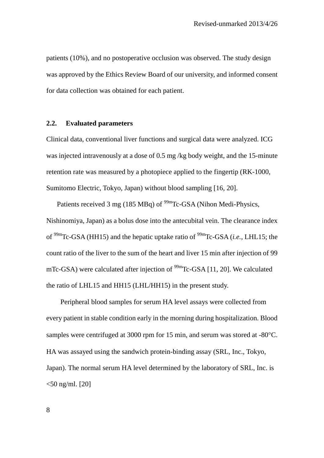patients (10%), and no postoperative occlusion was observed. The study design was approved by the Ethics Review Board of our university, and informed consent for data collection was obtained for each patient.

### **2.2. Evaluated parameters**

Clinical data, conventional liver functions and surgical data were analyzed. ICG was injected intravenously at a dose of 0.5 mg /kg body weight, and the 15-minute retention rate was measured by a photopiece applied to the fingertip (RK-1000, Sumitomo Electric, Tokyo, Japan) without blood sampling [16, 20].

Patients received 3 mg (185 MBq) of  $\rm{^{99m}Tc\text{-}GSA}$  (Nihon Medi-Physics, Nishinomiya, Japan) as a bolus dose into the antecubital vein. The clearance index of 99mTc-GSA (HH15) and the hepatic uptake ratio of 99mTc-GSA (*i.e.*, LHL15; the count ratio of the liver to the sum of the heart and liver 15 min after injection of 99 mTc-GSA) were calculated after injection of  $^{99m}$ Tc-GSA [11, 20]. We calculated the ratio of LHL15 and HH15 (LHL/HH15) in the present study.

Peripheral blood samples for serum HA level assays were collected from every patient in stable condition early in the morning during hospitalization. Blood samples were centrifuged at 3000 rpm for 15 min, and serum was stored at -80°C. HA was assayed using the sandwich protein-binding assay (SRL, Inc., Tokyo, Japan). The normal serum HA level determined by the laboratory of SRL, Inc. is  $<$ 50 ng/ml. [20]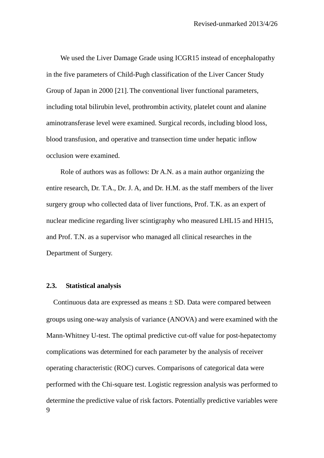We used the Liver Damage Grade using ICGR15 instead of encephalopathy in the five parameters of Child-Pugh classification of the Liver Cancer Study Group of Japan in 2000 [21]. The conventional liver functional parameters, including total bilirubin level, prothrombin activity, platelet count and alanine aminotransferase level were examined. Surgical records, including blood loss, blood transfusion, and operative and transection time under hepatic inflow occlusion were examined.

Role of authors was as follows: Dr A.N. as a main author organizing the entire research, Dr. T.A., Dr. J. A, and Dr. H.M. as the staff members of the liver surgery group who collected data of liver functions, Prof. T.K. as an expert of nuclear medicine regarding liver scintigraphy who measured LHL15 and HH15, and Prof. T.N. as a supervisor who managed all clinical researches in the Department of Surgery.

#### **2.3. Statistical analysis**

 $\overline{Q}$ Continuous data are expressed as means  $\pm$  SD. Data were compared between groups using one-way analysis of variance (ANOVA) and were examined with the Mann-Whitney U-test. The optimal predictive cut-off value for post-hepatectomy complications was determined for each parameter by the analysis of receiver operating characteristic (ROC) curves. Comparisons of categorical data were performed with the Chi-square test. Logistic regression analysis was performed to determine the predictive value of risk factors. Potentially predictive variables were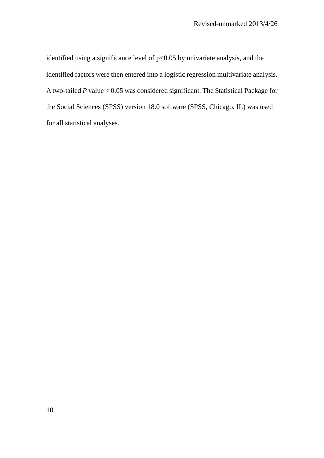identified using a significance level of  $p<0.05$  by univariate analysis, and the identified factors were then entered into a logistic regression multivariate analysis. A two-tailed *P* value < 0.05 was considered significant. The Statistical Package for the Social Sciences (SPSS) version 18.0 software (SPSS, Chicago, IL) was used for all statistical analyses.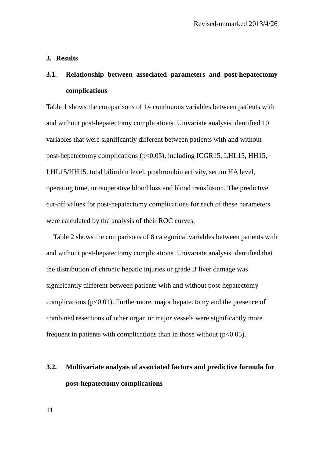### **3. Results**

# **3.1. Relationship between associated parameters and post-hepatectomy complications**

Table 1 shows the comparisons of 14 continuous variables between patients with and without post-hepatectomy complications. Univariate analysis identified 10 variables that were significantly different between patients with and without post-hepatectomy complications (p<0.05), including ICGR15, LHL15, HH15, LHL15/HH15, total bilirubin level, prothrombin activity, serum HA level, operating time, intraoperative blood loss and blood transfusion. The predictive cut-off values for post-hepatectomy complications for each of these parameters were calculated by the analysis of their ROC curves.

Table 2 shows the comparisons of 8 categorical variables between patients with and without post-hepatectomy complications. Univariate analysis identified that the distribution of chronic hepatic injuries or grade B liver damage was significantly different between patients with and without post-hepatectomy complications  $(p<0.01)$ . Furthermore, major hepatectomy and the presence of combined resections of other organ or major vessels were significantly more frequent in patients with complications than in those without  $(p<0.05)$ .

# **3.2. Multivariate analysis of associated factors and predictive formula for post-hepatectomy complications**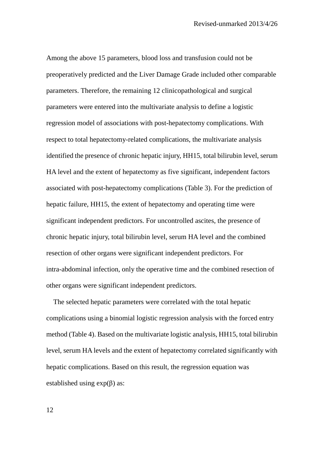Among the above 15 parameters, blood loss and transfusion could not be preoperatively predicted and the Liver Damage Grade included other comparable parameters. Therefore, the remaining 12 clinicopathological and surgical parameters were entered into the multivariate analysis to define a logistic regression model of associations with post-hepatectomy complications. With respect to total hepatectomy-related complications, the multivariate analysis identified the presence of chronic hepatic injury, HH15, total bilirubin level, serum HA level and the extent of hepatectomy as five significant, independent factors associated with post-hepatectomy complications (Table 3). For the prediction of hepatic failure, HH15, the extent of hepatectomy and operating time were significant independent predictors. For uncontrolled ascites, the presence of chronic hepatic injury, total bilirubin level, serum HA level and the combined resection of other organs were significant independent predictors. For intra-abdominal infection, only the operative time and the combined resection of other organs were significant independent predictors.

The selected hepatic parameters were correlated with the total hepatic complications using a binomial logistic regression analysis with the forced entry method (Table 4). Based on the multivariate logistic analysis, HH15, total bilirubin level, serum HA levels and the extent of hepatectomy correlated significantly with hepatic complications. Based on this result, the regression equation was established using  $exp(\beta)$  as: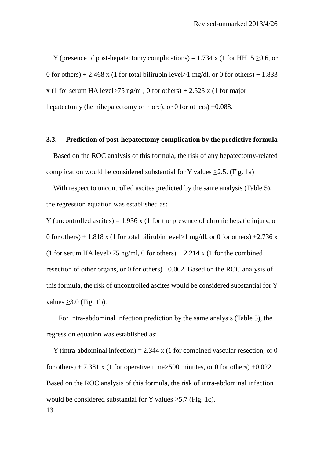Y (presence of post-hepatectomy complications) =  $1.734$  x (1 for HH15  $>0.6$ , or 0 for others) + 2.468 x (1 for total bilirubin level  $>1$  mg/dl, or 0 for others) + 1.833 x (1 for serum HA level>75 ng/ml, 0 for others) + 2.523 x (1 for major hepatectomy (hemihepatectomy or more), or 0 for others)  $+0.088$ .

### **3.3. Prediction of post-hepatectomy complication by the predictive formula**

Based on the ROC analysis of this formula, the risk of any hepatectomy-related complication would be considered substantial for Y values  $\geq$ 2.5. (Fig. 1a)

With respect to uncontrolled ascites predicted by the same analysis (Table 5), the regression equation was established as:

Y (uncontrolled ascites) =  $1.936$  x (1 for the presence of chronic hepatic injury, or 0 for others) + 1.818 x (1 for total bilirubin level > 1 mg/dl, or 0 for others) + 2.736 x (1 for serum HA level>75 ng/ml, 0 for others) + 2.214 x (1 for the combined resection of other organs, or 0 for others) +0.062. Based on the ROC analysis of this formula, the risk of uncontrolled ascites would be considered substantial for Y values  $\geq$ 3.0 (Fig. 1b).

 For intra-abdominal infection prediction by the same analysis (Table 5), the regression equation was established as:

13 Y (intra-abdominal infection) =  $2.344 \times (1$  for combined vascular resection, or 0 for others) + 7.381 x (1 for operative time > 500 minutes, or 0 for others) +0.022. Based on the ROC analysis of this formula, the risk of intra-abdominal infection would be considered substantial for Y values  $>5.7$  (Fig. 1c).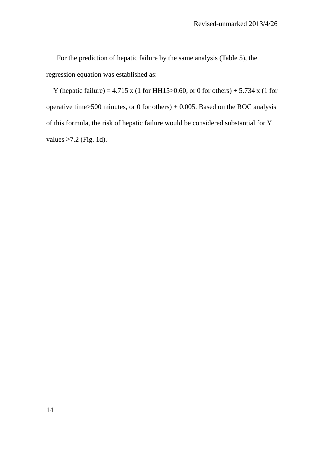For the prediction of hepatic failure by the same analysis (Table 5), the regression equation was established as:

Y (hepatic failure) =  $4.715 \times (1 \text{ for HH15} > 0.60, \text{ or } 0 \text{ for others}) + 5.734 \times (1 \text{ for}$ operative time>500 minutes, or 0 for others) + 0.005. Based on the ROC analysis of this formula, the risk of hepatic failure would be considered substantial for Y values  $\geq$ 7.2 (Fig. 1d).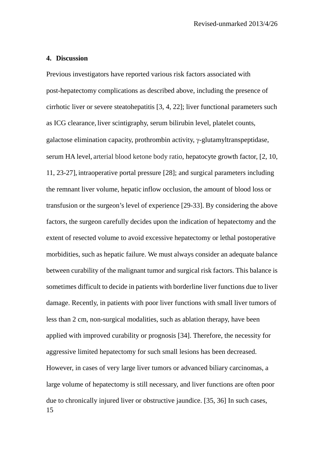### **4. Discussion**

15 Previous investigators have reported various risk factors associated with post-hepatectomy complications as described above, including the presence of cirrhotic liver or severe steatohepatitis [3, 4, 22]; liver functional parameters such as ICG clearance, liver scintigraphy, serum bilirubin level, platelet counts, galactose elimination capacity, prothrombin activity, γ-glutamyltranspeptidase, serum HA level, arterial blood ketone body ratio, hepatocyte growth factor, [2, 10, 11, 23-27], intraoperative portal pressure [28]; and surgical parameters including the remnant liver volume, hepatic inflow occlusion, the amount of blood loss or transfusion or the surgeon's level of experience [29-33]. By considering the above factors, the surgeon carefully decides upon the indication of hepatectomy and the extent of resected volume to avoid excessive hepatectomy or lethal postoperative morbidities, such as hepatic failure. We must always consider an adequate balance between curability of the malignant tumor and surgical risk factors. This balance is sometimes difficult to decide in patients with borderline liver functions due to liver damage. Recently, in patients with poor liver functions with small liver tumors of less than 2 cm, non-surgical modalities, such as ablation therapy, have been applied with improved curability or prognosis [34]. Therefore, the necessity for aggressive limited hepatectomy for such small lesions has been decreased. However, in cases of very large liver tumors or advanced biliary carcinomas, a large volume of hepatectomy is still necessary, and liver functions are often poor due to chronically injured liver or obstructive jaundice. [35, 36] In such cases,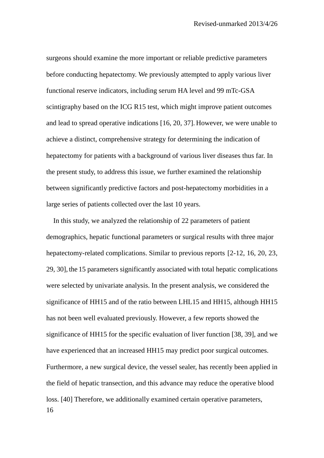surgeons should examine the more important or reliable predictive parameters before conducting hepatectomy. We previously attempted to apply various liver functional reserve indicators, including serum HA level and 99 mTc-GSA scintigraphy based on the ICG R15 test, which might improve patient outcomes and lead to spread operative indications [16, 20, 37]. However, we were unable to achieve a distinct, comprehensive strategy for determining the indication of hepatectomy for patients with a background of various liver diseases thus far. In the present study, to address this issue, we further examined the relationship between significantly predictive factors and post-hepatectomy morbidities in a large series of patients collected over the last 10 years.

16 In this study, we analyzed the relationship of 22 parameters of patient demographics, hepatic functional parameters or surgical results with three major hepatectomy-related complications. Similar to previous reports [2-12, 16, 20, 23, 29, 30], the 15 parameters significantly associated with total hepatic complications were selected by univariate analysis. In the present analysis, we considered the significance of HH15 and of the ratio between LHL15 and HH15, although HH15 has not been well evaluated previously. However, a few reports showed the significance of HH15 for the specific evaluation of liver function [38, 39], and we have experienced that an increased HH15 may predict poor surgical outcomes. Furthermore, a new surgical device, the vessel sealer, has recently been applied in the field of hepatic transection, and this advance may reduce the operative blood loss. [40] Therefore, we additionally examined certain operative parameters,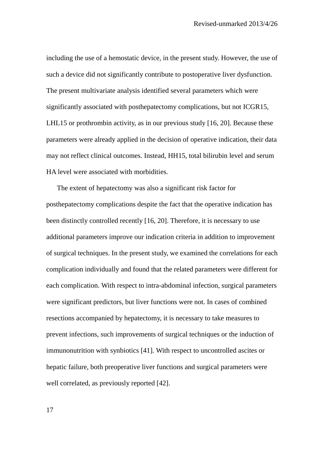including the use of a hemostatic device, in the present study. However, the use of such a device did not significantly contribute to postoperative liver dysfunction. The present multivariate analysis identified several parameters which were significantly associated with posthepatectomy complications, but not ICGR15, LHL15 or prothrombin activity, as in our previous study [16, 20]. Because these parameters were already applied in the decision of operative indication, their data may not reflect clinical outcomes. Instead, HH15, total bilirubin level and serum HA level were associated with morbidities.

The extent of hepatectomy was also a significant risk factor for posthepatectomy complications despite the fact that the operative indication has been distinctly controlled recently [16, 20]. Therefore, it is necessary to use additional parameters improve our indication criteria in addition to improvement of surgical techniques. In the present study, we examined the correlations for each complication individually and found that the related parameters were different for each complication. With respect to intra-abdominal infection, surgical parameters were significant predictors, but liver functions were not. In cases of combined resections accompanied by hepatectomy, it is necessary to take measures to prevent infections, such improvements of surgical techniques or the induction of immunonutrition with synbiotics [41]. With respect to uncontrolled ascites or hepatic failure, both preoperative liver functions and surgical parameters were well correlated, as previously reported [42].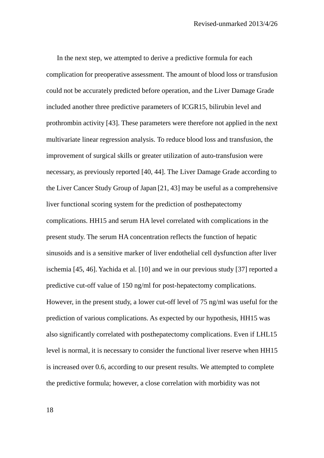In the next step, we attempted to derive a predictive formula for each complication for preoperative assessment. The amount of blood loss or transfusion could not be accurately predicted before operation, and the Liver Damage Grade included another three predictive parameters of ICGR15, bilirubin level and prothrombin activity [43]. These parameters were therefore not applied in the next multivariate linear regression analysis. To reduce blood loss and transfusion, the improvement of surgical skills or greater utilization of auto-transfusion were necessary, as previously reported [40, 44]. The Liver Damage Grade according to the Liver Cancer Study Group of Japan [21, 43] may be useful as a comprehensive liver functional scoring system for the prediction of posthepatectomy complications. HH15 and serum HA level correlated with complications in the present study. The serum HA concentration reflects the function of hepatic sinusoids and is a sensitive marker of liver endothelial cell dysfunction after liver ischemia [45, 46]. Yachida et al. [10] and we in our previous study [37] reported a predictive cut-off value of 150 ng/ml for post-hepatectomy complications. However, in the present study, a lower cut-off level of 75 ng/ml was useful for the prediction of various complications. As expected by our hypothesis, HH15 was also significantly correlated with posthepatectomy complications. Even if LHL15 level is normal, it is necessary to consider the functional liver reserve when HH15 is increased over 0.6, according to our present results. We attempted to complete the predictive formula; however, a close correlation with morbidity was not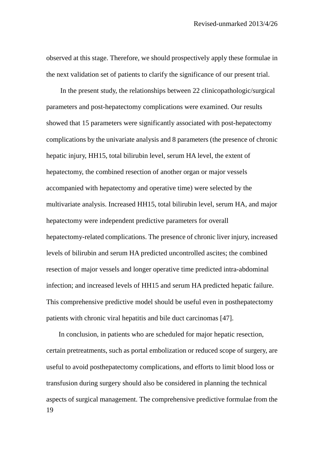observed at this stage. Therefore, we should prospectively apply these formulae in the next validation set of patients to clarify the significance of our present trial.

 In the present study, the relationships between 22 clinicopathologic/surgical parameters and post-hepatectomy complications were examined. Our results showed that 15 parameters were significantly associated with post-hepatectomy complications by the univariate analysis and 8 parameters (the presence of chronic hepatic injury, HH15, total bilirubin level, serum HA level, the extent of hepatectomy, the combined resection of another organ or major vessels accompanied with hepatectomy and operative time) were selected by the multivariate analysis. Increased HH15, total bilirubin level, serum HA, and major hepatectomy were independent predictive parameters for overall hepatectomy-related complications. The presence of chronic liver injury, increased levels of bilirubin and serum HA predicted uncontrolled ascites; the combined resection of major vessels and longer operative time predicted intra-abdominal infection; and increased levels of HH15 and serum HA predicted hepatic failure. This comprehensive predictive model should be useful even in posthepatectomy patients with chronic viral hepatitis and bile duct carcinomas [47].

19 In conclusion, in patients who are scheduled for major hepatic resection, certain pretreatments, such as portal embolization or reduced scope of surgery, are useful to avoid posthepatectomy complications, and efforts to limit blood loss or transfusion during surgery should also be considered in planning the technical aspects of surgical management. The comprehensive predictive formulae from the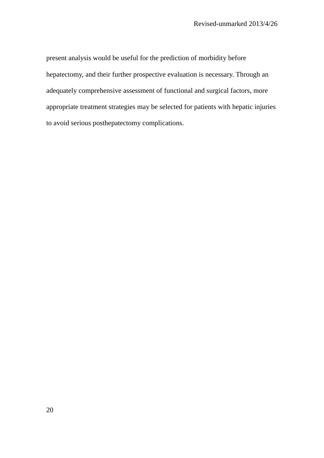present analysis would be useful for the prediction of morbidity before hepatectomy, and their further prospective evaluation is necessary. Through an adequately comprehensive assessment of functional and surgical factors, more appropriate treatment strategies may be selected for patients with hepatic injuries to avoid serious posthepatectomy complications.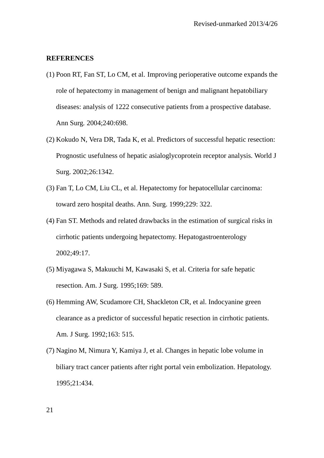### **REFERENCES**

- (1) Poon RT, Fan ST, Lo CM, et al. Improving perioperative outcome expands the role of hepatectomy in management of benign and malignant hepatobiliary diseases: analysis of 1222 consecutive patients from a prospective database. Ann Surg*.* 2004;240:698.
- (2) Kokudo N, Vera DR, Tada K, et al. Predictors of successful hepatic resection: Prognostic usefulness of hepatic asialoglycoprotein receptor analysis. World J Surg. 2002;26:1342.
- (3) Fan T, Lo CM, Liu CL, et al. Hepatectomy for hepatocellular carcinoma: toward zero hospital deaths. Ann. Surg. 1999;229: 322.
- (4) Fan ST. Methods and related drawbacks in the estimation of surgical risks in cirrhotic patients undergoing hepatectomy. Hepatogastroenterology 2002;49:17.
- (5) Miyagawa S, Makuuchi M, Kawasaki S, et al. Criteria for safe hepatic resection. Am. J Surg. 1995;169: 589.
- (6) Hemming AW, Scudamore CH, Shackleton CR, et al. Indocyanine green clearance as a predictor of successful hepatic resection in cirrhotic patients. Am. J Surg. 1992;163: 515.
- (7) Nagino M, Nimura Y, Kamiya J, et al. Changes in hepatic lobe volume in biliary tract cancer patients after right portal vein embolization. Hepatology. 1995;21:434.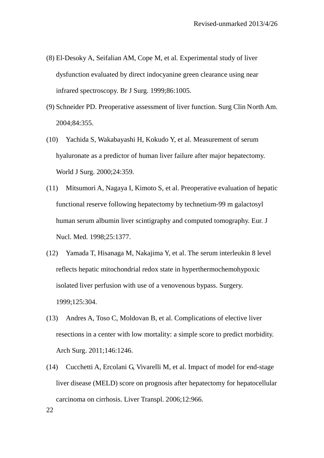- (8) El-Desoky A, Seifalian AM, Cope M, et al. Experimental study of liver dysfunction evaluated by direct indocyanine green clearance using near infrared spectroscopy. Br J Surg. 1999;86:1005.
- (9) Schneider PD. Preoperative assessment of liver function. Surg Clin North Am. 2004;84:355.
- (10) Yachida S, Wakabayashi H, Kokudo Y, et al. Measurement of serum hyaluronate as a predictor of human liver failure after major hepatectomy. World J Surg. 2000;24:359.
- (11) Mitsumori A, Nagaya I, Kimoto S, et al. Preoperative evaluation of hepatic functional reserve following hepatectomy by technetium-99 m galactosyl human serum albumin liver scintigraphy and computed tomography. Eur. J Nucl. Med. 1998;25:1377.
- (12) Yamada T, Hisanaga M, Nakajima Y, et al. The serum interleukin 8 level reflects hepatic mitochondrial redox state in hyperthermochemohypoxic isolated liver perfusion with use of a venovenous bypass. Surgery. 1999;125:304.
- (13) Andres A, Toso C, Moldovan B, et al. Complications of elective liver resections in a center with low mortality: a simple score to predict morbidity. Arch Surg. 2011;146:1246.
- (14) Cucchetti A, Ercolani G, Vivarelli M, et al. Impact of model for end-stage liver disease (MELD) score on prognosis after hepatectomy for hepatocellular carcinoma on cirrhosis. Liver Transpl. 2006;12:966.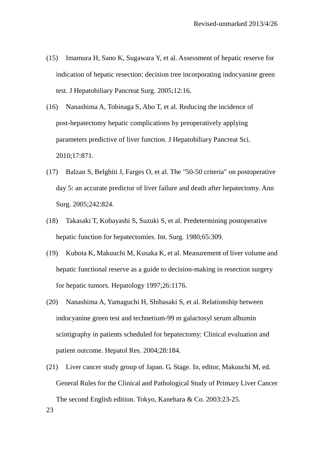- (15) Imamura H, Sano K, Sugawara Y, et al. Assessment of hepatic reserve for indication of hepatic resection: decision tree incorporating indocyanine green test. J Hepatobiliary Pancreat Surg. 2005;12:16.
- (16) Nanashima A, Tobinaga S, Abo T, et al. Reducing the incidence of post-hepatectomy hepatic complications by preoperatively applying parameters predictive of liver function. J Hepatobiliary Pancreat Sci. 2010;17:871.
- (17) Balzan S, Belghiti J, Farges O, et al. The "50-50 criteria" on postoperative day 5: an accurate predictor of liver failure and death after hepatectomy. Ann Surg. 2005;242:824.
- (18) Takasaki T, Kobayashi S, Suzuki S, et al. Predetermining postoperative hepatic function for hepatectomies. Int. Surg. 1980;65:309.
- (19) Kubota K, Makuuchi M, Kusaka K, et al. Measurement of liver volume and hepatic functional reserve as a guide to decision-making in resection surgery for hepatic tumors. Hepatology 1997;26:1176.
- (20) Nanashima A, Yamaguchi H, Shibasaki S, et al. Relationship between indocyanine green test and technetium-99 m galactosyl serum albumin scintigraphy in patients scheduled for hepatectomy: Clinical evaluation and patient outcome. Hepatol Res. 2004;28:184.
- (21) Liver cancer study group of Japan. G. Stage. In, editor, Makuuchi M, ed. General Rules for the Clinical and Pathological Study of Primary Liver Cancer The second English edition. Tokyo, Kanehara & Co. 2003:23-25.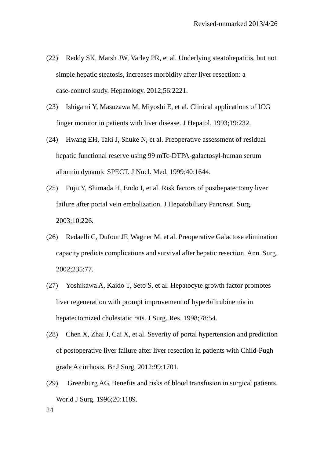- (22) Reddy SK, Marsh JW, Varley PR, et al. Underlying steatohepatitis, but not simple hepatic steatosis, increases morbidity after liver resection: a case-control study. Hepatology. 2012;56:2221.
- (23) Ishigami Y, Masuzawa M, Miyoshi E, et al. Clinical applications of ICG finger monitor in patients with liver disease. J Hepatol. 1993;19:232.
- (24) Hwang EH, Taki J, Shuke N, et al. Preoperative assessment of residual hepatic functional reserve using 99 mTc-DTPA-galactosyl-human serum albumin dynamic SPECT. J Nucl. Med. 1999;40:1644.
- (25) Fujii Y, Shimada H, Endo I, et al. Risk factors of posthepatectomy liver failure after portal vein embolization. J Hepatobiliary Pancreat. Surg. 2003;10:226.
- (26) Redaelli C, Dufour JF, Wagner M, et al. Preoperative Galactose elimination capacity predicts complications and survival after hepatic resection. Ann. Surg. 2002;235:77.
- (27) Yoshikawa A, Kaido T, Seto S, et al. Hepatocyte growth factor promotes liver regeneration with prompt improvement of hyperbilirubinemia in hepatectomized cholestatic rats. J Surg. Res. 1998;78:54.
- (28) Chen X, Zhai J, Cai X, et al. Severity of portal hypertension and prediction of postoperative liver failure after liver resection in patients with Child-Pugh grade A cirrhosis. Br J Surg. 2012;99:1701.
- (29) Greenburg AG. Benefits and risks of blood transfusion in surgical patients. World J Surg. 1996;20:1189.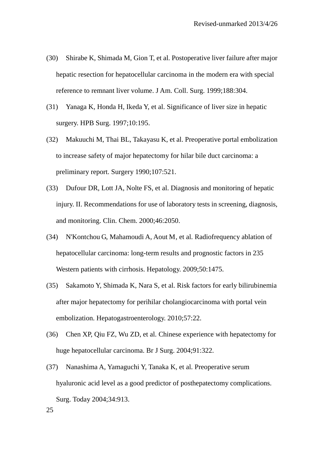- (30) Shirabe K, Shimada M, Gion T, et al. Postoperative liver failure after major hepatic resection for hepatocellular carcinoma in the modern era with special reference to remnant liver volume. J Am. Coll. Surg. 1999;188:304.
- (31) Yanaga K, Honda H, Ikeda Y, et al. Significance of liver size in hepatic surgery. HPB Surg. 1997;10:195.
- (32) Makuuchi M, Thai BL, Takayasu K, et al. Preoperative portal embolization to increase safety of major hepatectomy for hilar bile duct carcinoma: a preliminary report. Surgery 1990;107:521.
- (33) Dufour DR, Lott JA, Nolte FS, et al. Diagnosis and monitoring of hepatic injury. II. Recommendations for use of laboratory tests in screening, diagnosis, and monitoring. Clin. Chem. 2000;46:2050.
- (34) N'Kontchou G, Mahamoudi A, Aout M, et al. Radiofrequency ablation of hepatocellular carcinoma: long-term results and prognostic factors in 235 Western patients with cirrhosis. Hepatology. 2009;50:1475.
- (35) Sakamoto Y, Shimada K, Nara S, et al. Risk factors for early bilirubinemia after major hepatectomy for perihilar cholangiocarcinoma with portal vein embolization. Hepatogastroenterology. 2010;57:22.
- (36) Chen XP, Qiu FZ, Wu ZD, et al. Chinese experience with hepatectomy for huge hepatocellular carcinoma. Br J Surg. 2004;91:322.
- (37) Nanashima A, Yamaguchi Y, Tanaka K, et al. Preoperative serum hyaluronic acid level as a good predictor of posthepatectomy complications. Surg. Today 2004;34:913.

25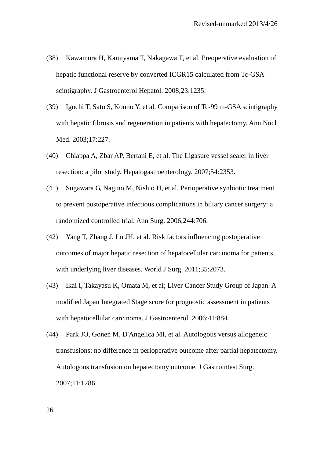- (38) Kawamura H, Kamiyama T, Nakagawa T, et al. Preoperative evaluation of hepatic functional reserve by converted ICGR15 calculated from Tc-GSA scintigraphy. J Gastroenterol Hepatol. 2008;23:1235.
- (39) Iguchi T, Sato S, Kouno Y, et al. Comparison of Tc-99 m-GSA scintigraphy with hepatic fibrosis and regeneration in patients with hepatectomy. Ann Nucl Med. 2003;17:227.
- (40) Chiappa A, Zbar AP, Bertani E, et al. The Ligasure vessel sealer in liver resection: a pilot study. Hepatogastroenterology. 2007;54:2353.
- (41) Sugawara G, Nagino M, Nishio H, et al. Perioperative synbiotic treatment to prevent postoperative infectious complications in biliary cancer surgery: a randomized controlled trial. Ann Surg. 2006;244:706.
- (42) Yang T, Zhang J, Lu JH, et al. Risk factors influencing postoperative outcomes of major hepatic resection of hepatocellular carcinoma for patients with underlying liver diseases. World J Surg. 2011;35:2073.
- (43) Ikai I, Takayasu K, Omata M, et al; Liver Cancer Study Group of Japan. A modified Japan Integrated Stage score for prognostic assessment in patients with hepatocellular carcinoma. J Gastroenterol. 2006;41:884.
- (44) Park JO, Gonen M, D'Angelica MI, et al. Autologous versus allogeneic transfusions: no difference in perioperative outcome after partial hepatectomy. Autologous transfusion on hepatectomy outcome. J Gastrointest Surg. 2007;11:1286.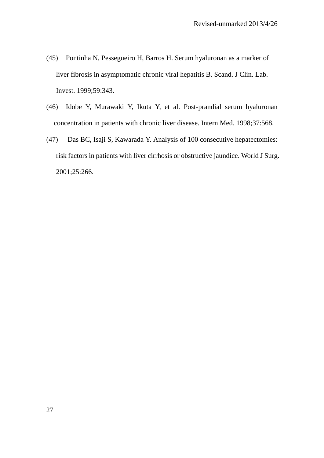- (45) Pontinha N, Pessegueiro H, Barros H. Serum hyaluronan as a marker of liver fibrosis in asymptomatic chronic viral hepatitis B. Scand. J Clin. Lab. Invest. 1999;59:343.
- (46) Idobe Y, Murawaki Y, Ikuta Y, et al. Post-prandial serum hyaluronan concentration in patients with chronic liver disease. Intern Med. 1998;37:568.
- (47) Das BC, Isaji S, Kawarada Y. Analysis of 100 consecutive hepatectomies: risk factors in patients with liver cirrhosis or obstructive jaundice. World J Surg. 2001;25:266.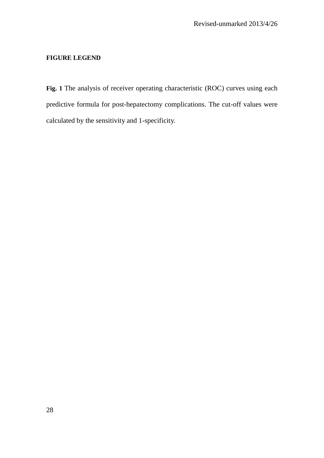## **FIGURE LEGEND**

**Fig. 1** The analysis of receiver operating characteristic (ROC) curves using each predictive formula for post-hepatectomy complications. The cut-off values were calculated by the sensitivity and 1-specificity.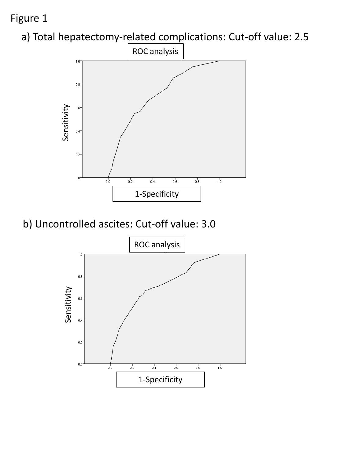# Figure 1





b) Uncontrolled ascites: Cut-off value: 3.0

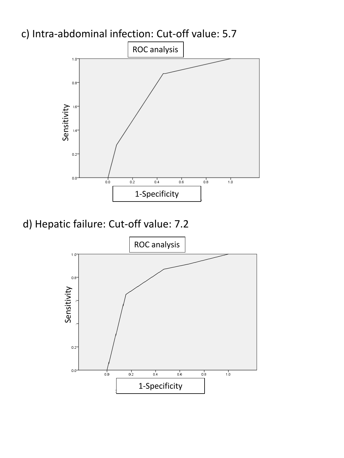

d) Hepatic failure: Cut-off value: 7.2



c) Intra-abdominal infection: Cut-off value: 5.7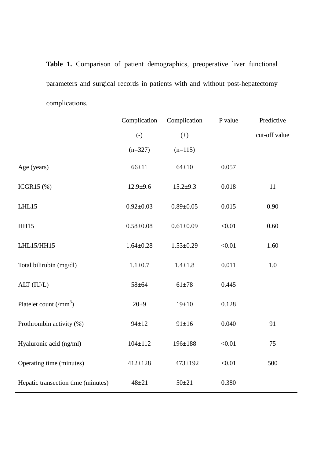**Table 1.** Comparison of patient demographics, preoperative liver functional parameters and surgical records in patients with and without post-hepatectomy complications.

|                                           | Complication    | Complication    | P value | Predictive    |
|-------------------------------------------|-----------------|-----------------|---------|---------------|
|                                           | $(-)$           | $(+)$           |         | cut-off value |
|                                           | $(n=327)$       | $(n=115)$       |         |               |
| Age (years)                               | $66 + 11$       | $64 \pm 10$     | 0.057   |               |
| ICGR15 $(\%)$                             | $12.9 + 9.6$    | $15.2 + 9.3$    | 0.018   | 11            |
| LHL15                                     | $0.92 \pm 0.03$ | $0.89 + 0.05$   | 0.015   | 0.90          |
| <b>HH15</b>                               | $0.58 + 0.08$   | $0.61 \pm 0.09$ | < 0.01  | 0.60          |
| LHL15/HH15                                | $1.64 \pm 0.28$ | $1.53 \pm 0.29$ | < 0.01  | 1.60          |
| Total bilirubin (mg/dl)                   | $1.1 \pm 0.7$   | $1.4 + 1.8$     | 0.011   | 1.0           |
| ALT (IU/L)                                | $58 + 64$       | $61 + 78$       | 0.445   |               |
| Platelet count $\left(\text{mm}^3\right)$ | $20 + 9$        | $19 \pm 10$     | 0.128   |               |
| Prothrombin activity (%)                  | $94 \pm 12$     | $91 \pm 16$     | 0.040   | 91            |
| Hyaluronic acid (ng/ml)                   | $104 \pm 112$   | $196 \pm 188$   | < 0.01  | 75            |
| Operating time (minutes)                  | $412 \pm 128$   | $473 \pm 192$   | < 0.01  | 500           |
| Hepatic transection time (minutes)        | $48 + 21$       | $50 + 21$       | 0.380   |               |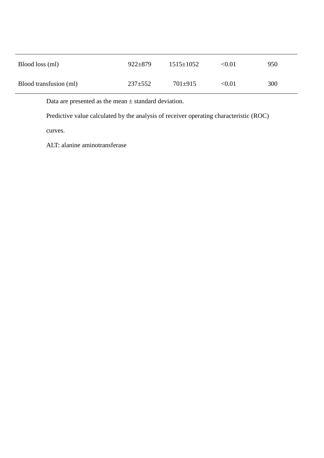| Blood loss (ml)        | $922 \pm 879$ | $1515 \pm 1052$ | < 0.01 | 950 |
|------------------------|---------------|-----------------|--------|-----|
| Blood transfusion (ml) | $237 \pm 552$ | $701 \pm 915$   | < 0.01 | 300 |

Data are presented as the mean  $\pm$  standard deviation.

Predictive value calculated by the analysis of receiver operating characteristic (ROC)

curves.

ALT: alanine aminotransferase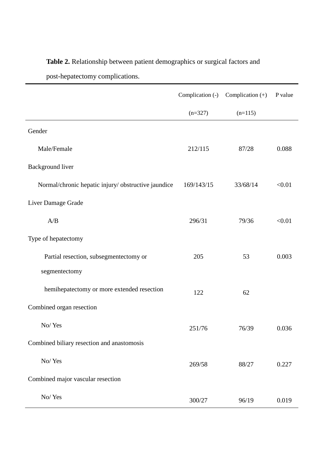# **Table 2.** Relationship between patient demographics or surgical factors and

post-hepatectomy complications.

|                                                     | Complication (-) | Complication $(+)$ | P value |
|-----------------------------------------------------|------------------|--------------------|---------|
|                                                     | $(n=327)$        | $(n=115)$          |         |
| Gender                                              |                  |                    |         |
| Male/Female                                         | 212/115          | 87/28              | 0.088   |
| Background liver                                    |                  |                    |         |
| Normal/chronic hepatic injury/ obstructive jaundice | 169/143/15       | 33/68/14           | < 0.01  |
| Liver Damage Grade                                  |                  |                    |         |
| A/B                                                 | 296/31           | 79/36              | < 0.01  |
| Type of hepatectomy                                 |                  |                    |         |
| Partial resection, subsegmentectomy or              | 205              | 53                 | 0.003   |
| segmentectomy                                       |                  |                    |         |
| hemihepatectomy or more extended resection          | 122              | 62                 |         |
| Combined organ resection                            |                  |                    |         |
| No/Yes                                              | 251/76           | 76/39              | 0.036   |
| Combined biliary resection and anastomosis          |                  |                    |         |
| No/Yes                                              | 269/58           | 88/27              | 0.227   |
| Combined major vascular resection                   |                  |                    |         |
| No/Yes                                              | 300/27           | 96/19              | 0.019   |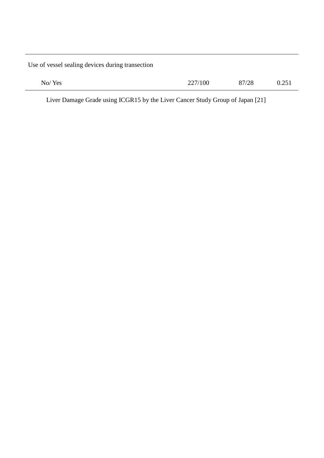Use of vessel sealing devices during transection

| No/Yes | 227/100 | 87/28 | 0.251 |
|--------|---------|-------|-------|
|        |         |       |       |

Liver Damage Grade using ICGR15 by the Liver Cancer Study Group of Japan [21]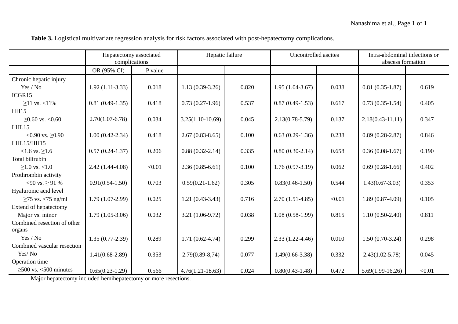| Table 3. Logistical multivariate regression analysis for risk factors associated with post-hepatectomy complications. |  |  |  |  |
|-----------------------------------------------------------------------------------------------------------------------|--|--|--|--|
|-----------------------------------------------------------------------------------------------------------------------|--|--|--|--|

|                             | Hepatectomy associated<br>complications |         | Hepatic failure      |       | Uncontrolled ascites |        | Intra-abdominal infections or<br>abscess formation |        |
|-----------------------------|-----------------------------------------|---------|----------------------|-------|----------------------|--------|----------------------------------------------------|--------|
|                             | OR (95% CI)                             | P value |                      |       |                      |        |                                                    |        |
| Chronic hepatic injury      |                                         |         |                      |       |                      |        |                                                    |        |
| Yes / No                    | $1.92(1.11-3.33)$                       | 0.018   | $1.13(0.39-3.26)$    | 0.820 | $1.95(1.04-3.67)$    | 0.038  | $0.81(0.35-1.87)$                                  | 0.619  |
| ICGR15                      |                                         |         |                      |       |                      |        |                                                    |        |
| $≥11$ vs. <11%              | $0.81(0.49-1.35)$                       | 0.418   | $0.73(0.27-1.96)$    | 0.537 | $0.87(0.49-1.53)$    | 0.617  | $0.73(0.35-1.54)$                                  | 0.405  |
| <b>HH15</b>                 |                                         |         |                      |       |                      |        |                                                    |        |
| $≥0.60$ vs. <0.60           | $2.70(1.07-6.78)$                       | 0.034   | $3.25(1.10-10.69)$   | 0.045 | $2.13(0.78 - 5.79)$  | 0.137  | $2.18(0.43 - 11.11)$                               | 0.347  |
| LHL15                       |                                         |         |                      |       |                      |        |                                                    |        |
| <0.90 vs. $\geq 0.90$       | $1.00(0.42 - 2.34)$                     | 0.418   | $2.67(0.83 - 8.65)$  | 0.100 | $0.63(0.29-1.36)$    | 0.238  | $0.89(0.28-2.87)$                                  | 0.846  |
| LHL15/HH15                  |                                         |         |                      |       |                      |        |                                                    |        |
| $<1.6$ vs. $\geq 1.6$       | $0.57(0.24-1.37)$                       | 0.206   | $0.88(0.32-2.14)$    | 0.335 | $0.80(0.30-2.14)$    | 0.658  | $0.36(0.08-1.67)$                                  | 0.190  |
| Total bilirubin             |                                         |         |                      |       |                      |        |                                                    |        |
| $>1.0$ vs. $<1.0$           | $2.42(1.44-4.08)$                       | < 0.01  | $2.36(0.85 - 6.61)$  | 0.100 | $1.76(0.97-3.19)$    | 0.062  | $0.69(0.28-1.66)$                                  | 0.402  |
| Prothrombin activity        |                                         |         |                      |       |                      |        |                                                    |        |
| <90 vs. $\geq$ 91 %         | $0.91(0.54-1.50)$                       | 0.703   | $0.59(0.21-1.62)$    | 0.305 | $0.83(0.46 - 1.50)$  | 0.544  | $1.43(0.67 - 3.03)$                                | 0.353  |
| Hyaluronic acid level       |                                         |         |                      |       |                      |        |                                                    |        |
| $\geq$ 75 vs. <75 ng/ml     | $1.79(1.07-2.99)$                       | 0.025   | $1.21(0.43-3.43)$    | 0.716 | $2.70(1.51-4.85)$    | < 0.01 | $1.89(0.87-4.09)$                                  | 0.105  |
| Extend of hepatectomy       |                                         |         |                      |       |                      |        |                                                    |        |
| Major vs. minor             | $1.79(1.05-3.06)$                       | 0.032   | $3.21(1.06-9.72)$    | 0.038 | $1.08(0.58-1.99)$    | 0.815  | $1.10(0.50-2.40)$                                  | 0.811  |
| Combined resection of other |                                         |         |                      |       |                      |        |                                                    |        |
| organs                      |                                         |         |                      |       |                      |        |                                                    |        |
| Yes / No                    | $1.35(0.77-2.39)$                       | 0.289   | $1.71(0.62 - 4.74)$  | 0.299 | $2.33(1.22 - 4.46)$  | 0.010  | $1.50(0.70-3.24)$                                  | 0.298  |
| Combined vascular resection |                                         |         |                      |       |                      |        |                                                    |        |
| Yes/No                      | $1.41(0.68-2.89)$                       | 0.353   | $2.79(0.89-8.74)$    | 0.077 | $1.49(0.66 - 3.38)$  | 0.332  | $2.43(1.02 - 5.78)$                                | 0.045  |
| Operation time              |                                         |         |                      |       |                      |        |                                                    |        |
| $\geq$ 500 vs. <500 minutes | $0.65(0.23-1.29)$                       | 0.566   | $4.76(1.21 - 18.63)$ | 0.024 | $0.80(0.43-1.48)$    | 0.472  | $5.69(1.99-16.26)$                                 | < 0.01 |

Major hepatectomy included hemihepatectomy or more resections.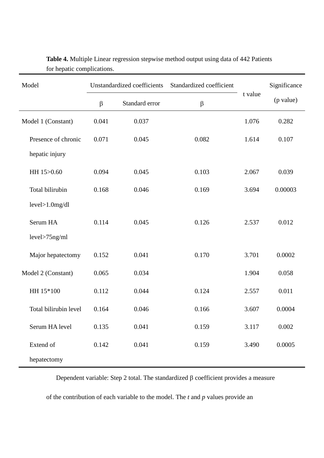| Model                 | Unstandardized coefficients |                           | Standardized coefficient |         | Significance |
|-----------------------|-----------------------------|---------------------------|--------------------------|---------|--------------|
|                       | $\beta$                     | Standard error<br>$\beta$ |                          | t value | (p value)    |
| Model 1 (Constant)    | 0.041                       | 0.037                     |                          | 1.076   | 0.282        |
| Presence of chronic   | 0.071                       | 0.045                     | 0.082                    | 1.614   | 0.107        |
| hepatic injury        |                             |                           |                          |         |              |
| HH 15>0.60            | 0.094                       | 0.045                     | 0.103                    | 2.067   | 0.039        |
| Total bilirubin       | 0.168                       | 0.046                     | 0.169                    | 3.694   | 0.00003      |
| $level>1.0$ mg/dl     |                             |                           |                          |         |              |
| Serum HA              | 0.114                       | 0.045                     | 0.126                    | 2.537   | 0.012        |
| $level$ >75ng/ml      |                             |                           |                          |         |              |
| Major hepatectomy     | 0.152                       | 0.041                     | 0.170                    | 3.701   | 0.0002       |
| Model 2 (Constant)    | 0.065                       | 0.034                     |                          | 1.904   | 0.058        |
| HH 15*100             | 0.112                       | 0.044                     | 0.124                    | 2.557   | 0.011        |
| Total bilirubin level | 0.164                       | 0.046                     | 0.166                    | 3.607   | 0.0004       |
| Serum HA level        | 0.135                       | 0.041                     | 0.159                    | 3.117   | 0.002        |
| Extend of             | 0.142                       | 0.041                     | 0.159                    | 3.490   | 0.0005       |
| hepatectomy           |                             |                           |                          |         |              |

**Table 4.** Multiple Linear regression stepwise method output using data of 442 Patients for hepatic complications.

Dependent variable: Step 2 total. The standardized β coefficient provides a measure

of the contribution of each variable to the model. The *t* and *p* values provide an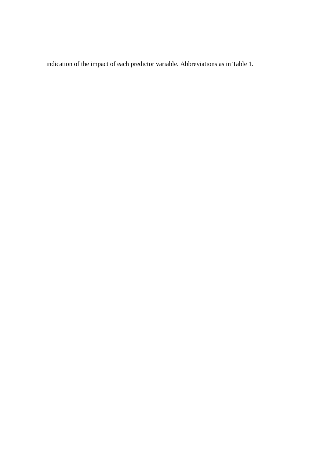indication of the impact of each predictor variable. Abbreviations as in Table 1.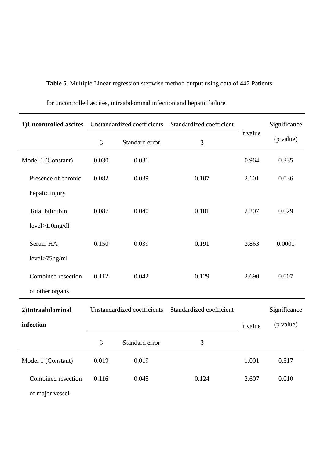**Table 5.** Multiple Linear regression stepwise method output using data of 442 Patients

| 1)Uncontrolled ascites |         | Unstandardized coefficients | Standardized coefficient |         | Significance |
|------------------------|---------|-----------------------------|--------------------------|---------|--------------|
|                        | $\beta$ | Standard error              | $\beta$                  | t value | (p value)    |
| Model 1 (Constant)     | 0.030   | 0.031                       |                          | 0.964   | 0.335        |
| Presence of chronic    | 0.082   | 0.039                       | 0.107                    | 2.101   | 0.036        |
| hepatic injury         |         |                             |                          |         |              |
| Total bilirubin        | 0.087   | 0.040                       | 0.101                    | 2.207   | 0.029        |
| $level>1.0$ mg/dl      |         |                             |                          |         |              |
| Serum HA               | 0.150   | 0.039                       | 0.191                    | 3.863   | 0.0001       |
| level>75ng/ml          |         |                             |                          |         |              |
| Combined resection     | 0.112   | 0.042                       | 0.129                    | 2.690   | 0.007        |
| of other organs        |         |                             |                          |         |              |
| 2)Intraabdominal       |         | Unstandardized coefficients | Standardized coefficient |         | Significance |
| infection              |         |                             |                          | t value | (p value)    |
|                        | $\beta$ | Standard error              | $\beta$                  |         |              |
| Model 1 (Constant)     | 0.019   | 0.019                       |                          | 1.001   | 0.317        |
| Combined resection     | 0.116   | 0.045                       | 0.124                    | 2.607   | 0.010        |
| of major vessel        |         |                             |                          |         |              |

for uncontrolled ascites, intraabdominal infection and hepatic failure